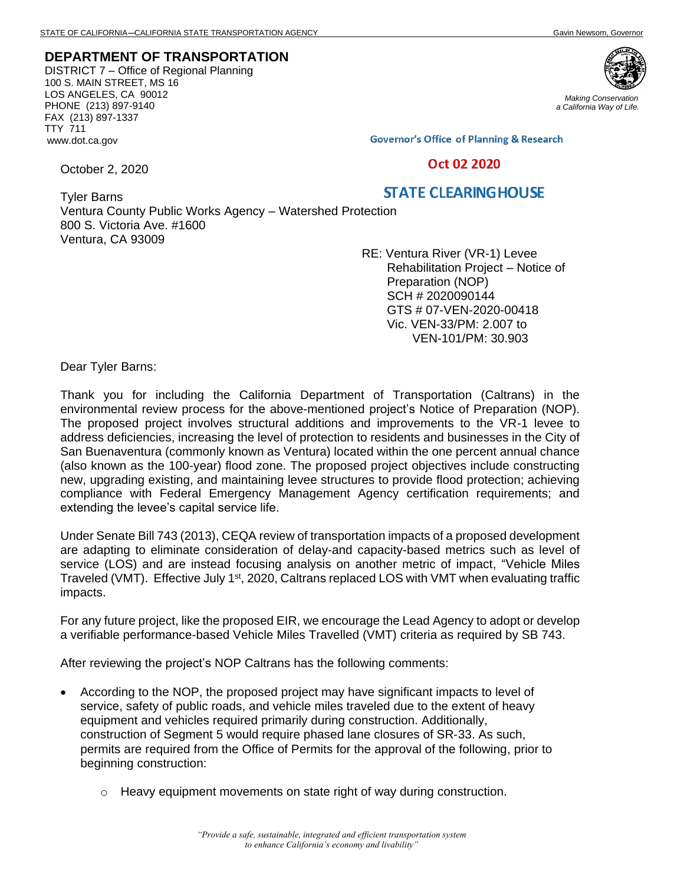## **DEPARTMENT OF TRANSPORTATION**

DISTRICT 7 – Office of Regional Planning 100 S. MAIN STREET, MS 16 LOS ANGELES, CA 90012 PHONE (213) 897-9140 FAX (213) 897-1337 TTY 711 www.dot.ca.gov



*Making Conservation a California Way of Life.*

**Governor's Office of Planning & Research** 

## Oct 02 2020

## **STATE CLEARING HOUSE**

Tyler Barns Ventura County Public Works Agency – Watershed Protection 800 S. Victoria Ave. #1600 Ventura, CA 93009

> RE: Ventura River (VR-1) Levee Rehabilitation Project – Notice of Preparation (NOP) SCH # 2020090144 GTS # 07-VEN-2020-00418 Vic. VEN-33/PM: 2.007 to VEN-101/PM: 30.903

Dear Tyler Barns:

October 2, 2020

Thank you for including the California Department of Transportation (Caltrans) in the environmental review process for the above-mentioned project's Notice of Preparation (NOP). The proposed project involves structural additions and improvements to the VR-1 levee to address deficiencies, increasing the level of protection to residents and businesses in the City of San Buenaventura (commonly known as Ventura) located within the one percent annual chance (also known as the 100-year) flood zone. The proposed project objectives include constructing new, upgrading existing, and maintaining levee structures to provide flood protection; achieving compliance with Federal Emergency Management Agency certification requirements; and extending the levee's capital service life.

Under Senate Bill 743 (2013), CEQA review of transportation impacts of a proposed development are adapting to eliminate consideration of delay-and capacity-based metrics such as level of service (LOS) and are instead focusing analysis on another metric of impact, "Vehicle Miles Traveled (VMT). Effective July 1<sup>st</sup>, 2020, Caltrans replaced LOS with VMT when evaluating traffic impacts.

For any future project, like the proposed EIR, we encourage the Lead Agency to adopt or develop a verifiable performance-based Vehicle Miles Travelled (VMT) criteria as required by SB 743.

After reviewing the project's NOP Caltrans has the following comments:

- According to the NOP, the proposed project may have significant impacts to level of service, safety of public roads, and vehicle miles traveled due to the extent of heavy equipment and vehicles required primarily during construction. Additionally, construction of Segment 5 would require phased lane closures of SR‐33. As such, permits are required from the Office of Permits for the approval of the following, prior to beginning construction:
	- o Heavy equipment movements on state right of way during construction.